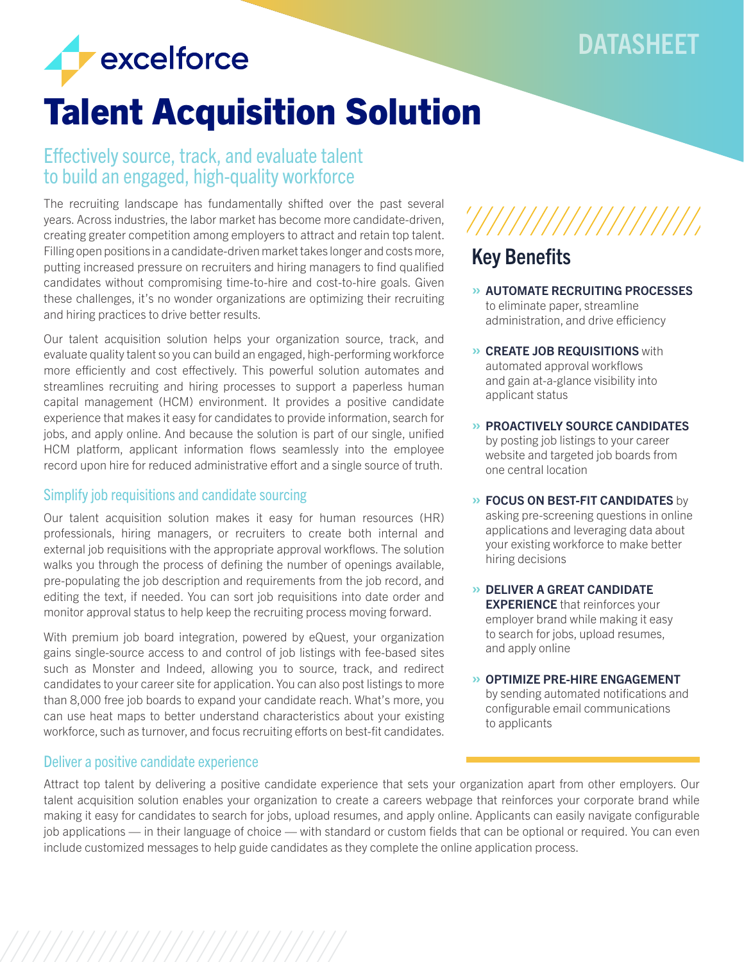## DATASHEET



## Talent Acquisition Solution

## Effectively source, track, and evaluate talent to build an engaged, high-quality workforce

The recruiting landscape has fundamentally shifted over the past several years. Across industries, the labor market has become more candidate-driven, creating greater competition among employers to attract and retain top talent. Filling open positions in a candidate-driven market takes longer and costs more, putting increased pressure on recruiters and hiring managers to find qualified candidates without compromising time-to-hire and cost-to-hire goals. Given these challenges, it's no wonder organizations are optimizing their recruiting and hiring practices to drive better results.

Our talent acquisition solution helps your organization source, track, and evaluate quality talent so you can build an engaged, high-performing workforce more efficiently and cost effectively. This powerful solution automates and streamlines recruiting and hiring processes to support a paperless human capital management (HCM) environment. It provides a positive candidate experience that makes it easy for candidates to provide information, search for jobs, and apply online. And because the solution is part of our single, unified HCM platform, applicant information flows seamlessly into the employee record upon hire for reduced administrative effort and a single source of truth.

## Simplify job requisitions and candidate sourcing

Our talent acquisition solution makes it easy for human resources (HR) professionals, hiring managers, or recruiters to create both internal and external job requisitions with the appropriate approval workflows. The solution walks you through the process of defining the number of openings available, pre-populating the job description and requirements from the job record, and editing the text, if needed. You can sort job requisitions into date order and monitor approval status to help keep the recruiting process moving forward.

With premium job board integration, powered by eQuest, your organization gains single-source access to and control of job listings with fee-based sites such as Monster and Indeed, allowing you to source, track, and redirect candidates to your career site for application. You can also post listings to more than 8,000 free job boards to expand your candidate reach. What's more, you can use heat maps to better understand characteristics about your existing workforce, such as turnover, and focus recruiting efforts on best-fit candidates.

## Deliver a positive candidate experience

# 

## Key Benefits

- » AUTOMATE RECRUITING PROCESSES to eliminate paper, streamline administration, and drive efficiency
- » CREATE JOB REQUISITIONS with automated approval workflows and gain at-a-glance visibility into applicant status
- » PROACTIVELY SOURCE CANDIDATES by posting job listings to your career website and targeted job boards from one central location
- **» FOCUS ON BEST-FIT CANDIDATES** by asking pre-screening questions in online applications and leveraging data about your existing workforce to make better hiring decisions
- » DELIVER A GREAT CANDIDATE **EXPERIENCE** that reinforces your employer brand while making it easy to search for jobs, upload resumes, and apply online
- » OPTIMIZE PRE-HIRE ENGAGEMENT by sending automated notifications and configurable email communications to applicants

Attract top talent by delivering a positive candidate experience that sets your organization apart from other employers. Our talent acquisition solution enables your organization to create a careers webpage that reinforces your corporate brand while making it easy for candidates to search for jobs, upload resumes, and apply online. Applicants can easily navigate configurable job applications — in their language of choice — with standard or custom fields that can be optional or required. You can even include customized messages to help guide candidates as they complete the online application process.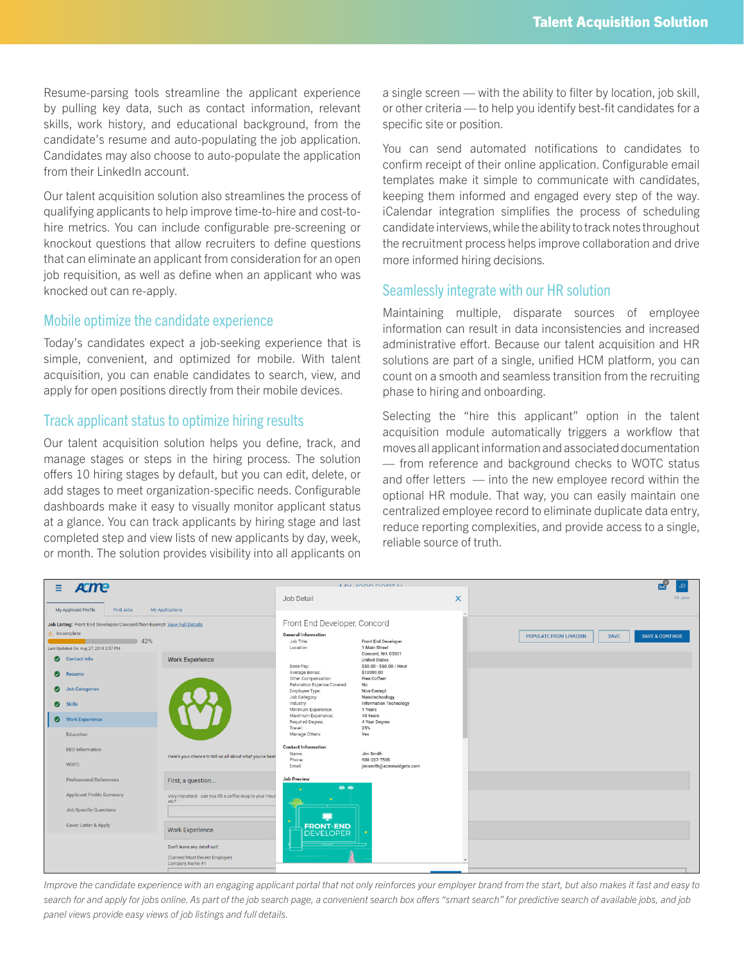Resume-parsing tools streamline the applicant experience by pulling key data, such as contact information, relevant skills, work history, and educational background, from the candidate's resume and auto-populating the job application. Candidates may also choose to auto-populate the application from their LinkedIn account.

Our talent acquisition solution also streamlines the process of qualifying applicants to help improve time-to-hire and cost-tohire metrics. You can include configurable pre-screening or knockout questions that allow recruiters to define questions that can eliminate an applicant from consideration for an open job requisition, as well as define when an applicant who was knocked out can re-apply.

#### Mobile optimize the candidate experience

Today's candidates expect a job-seeking experience that is simple, convenient, and optimized for mobile. With talent acquisition, you can enable candidates to search, view, and apply for open positions directly from their mobile devices.

### Track applicant status to optimize hiring results

Our talent acquisition solution helps you define, track, and manage stages or steps in the hiring process. The solution offers 10 hiring stages by default, but you can edit, delete, or add stages to meet organization-specific needs. Configurable dashboards make it easy to visually monitor applicant status at a glance. You can track applicants by hiring stage and last completed step and view lists of new applicants by day, week, or month. The solution provides visibility into all applicants on a single screen — with the ability to filter by location, job skill, or other criteria — to help you identify best-fit candidates for a specific site or position.

You can send automated notifications to candidates to confirm receipt of their online application. Configurable email templates make it simple to communicate with candidates, keeping them informed and engaged every step of the way. iCalendar integration simplifies the process of scheduling candidate interviews, while the ability to track notes throughout the recruitment process helps improve collaboration and drive more informed hiring decisions.

## Seamlessly integrate with our HR solution

Maintaining multiple, disparate sources of employee information can result in data inconsistencies and increased administrative effort. Because our talent acquisition and HR solutions are part of a single, unified HCM platform, you can count on a smooth and seamless transition from the recruiting phase to hiring and onboarding.

Selecting the "hire this applicant" option in the talent acquisition module automatically triggers a workflow that moves all applicant information and associated documentation — from reference and background checks to WOTC status and offer letters — into the new employee record within the optional HR module. That way, you can easily maintain one centralized employee record to eliminate duplicate data entry, reduce reporting complexities, and provide access to a single, reliable source of truth.



*Improve the candidate experience with an engaging applicant portal that not only reinforces your employer brand from the start, but also makes it fast and easy to search for and apply for jobs online. As part of the job search page, a convenient search box offers "smart search" for predictive search of available jobs, and job panel views provide easy views of job listings and full details.*